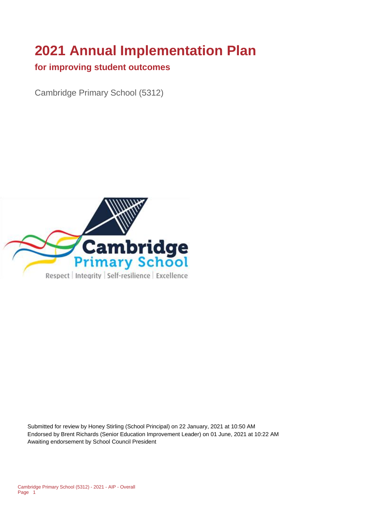# **2021 Annual Implementation Plan**

#### **for improving student outcomes**

Cambridge Primary School (5312)



Submitted for review by Honey Stirling (School Principal) on 22 January, 2021 at 10:50 AM Endorsed by Brent Richards (Senior Education Improvement Leader) on 01 June, 2021 at 10:22 AM Awaiting endorsement by School Council President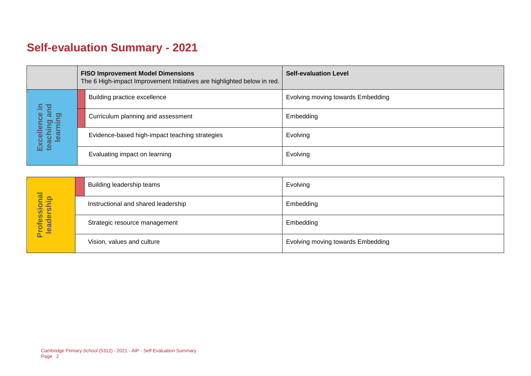# **Self-evaluation Summary - 2021**

|  |                                       | <b>FISO Improvement Model Dimensions</b><br>The 6 High-impact Improvement Initiatives are highlighted below in red. |                                                | <b>Self-evaluation Level</b>      |
|--|---------------------------------------|---------------------------------------------------------------------------------------------------------------------|------------------------------------------------|-----------------------------------|
|  | 모 크.                                  |                                                                                                                     | Building practice excellence                   | Evolving moving towards Embedding |
|  | ă<br>lence                            |                                                                                                                     | Curriculum planning and assessment             | Embedding                         |
|  | Excellence<br>teaching ar<br>learning |                                                                                                                     | Evidence-based high-impact teaching strategies | Evolving                          |
|  |                                       |                                                                                                                     | Evaluating impact on learning                  | Evolving                          |

|                            | Building leadership teams           | Evolving                          |
|----------------------------|-------------------------------------|-----------------------------------|
|                            | Instructional and shared leadership | Embedding                         |
| Professional<br>leadership | Strategic resource management       | Embedding                         |
|                            | Vision, values and culture          | Evolving moving towards Embedding |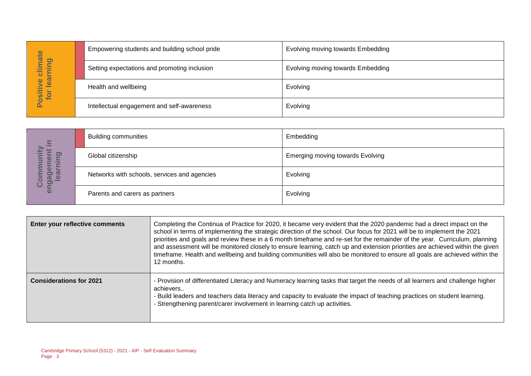|                                     | Empowering students and building school pride | <b>Evolving moving towards Embedding</b> |
|-------------------------------------|-----------------------------------------------|------------------------------------------|
| imate<br>pring<br>=<br>ပ            | Setting expectations and promoting inclusion  | <b>Evolving moving towards Embedding</b> |
| lear<br>$\bullet$<br>Positiv<br>tor | Health and wellbeing                          | Evolving                                 |
|                                     | Intellectual engagement and self-awareness    | Evolving                                 |

| $\Xi$                                                        | <b>Building communities</b>                  | Embedding                               |
|--------------------------------------------------------------|----------------------------------------------|-----------------------------------------|
| <u>ත</u><br>$\omega$<br>œ                                    | Global citizenship                           | <b>Emerging moving towards Evolving</b> |
| ត<br><b>LO</b><br>o)]<br>$\phi$<br>$\overline{\omega}$<br>ပိ | Networks with schools, services and agencies | Evolving                                |
| eng                                                          | Parents and carers as partners               | Evolving                                |

|                                  | Empowering students and building school pride                          |                                                                                                                                                                                                                                                                                                                                                      | EVOIVING MOVING towards Embedding                                                                                                                                                                                                                                                                                                                                                                                                                                                                                                                                                                                                               |
|----------------------------------|------------------------------------------------------------------------|------------------------------------------------------------------------------------------------------------------------------------------------------------------------------------------------------------------------------------------------------------------------------------------------------------------------------------------------------|-------------------------------------------------------------------------------------------------------------------------------------------------------------------------------------------------------------------------------------------------------------------------------------------------------------------------------------------------------------------------------------------------------------------------------------------------------------------------------------------------------------------------------------------------------------------------------------------------------------------------------------------------|
| Positive climate<br>for learning | Setting expectations and promoting inclusion                           |                                                                                                                                                                                                                                                                                                                                                      | Evolving moving towards Embedding                                                                                                                                                                                                                                                                                                                                                                                                                                                                                                                                                                                                               |
|                                  | Health and wellbeing                                                   |                                                                                                                                                                                                                                                                                                                                                      | Evolving                                                                                                                                                                                                                                                                                                                                                                                                                                                                                                                                                                                                                                        |
|                                  | Intellectual engagement and self-awareness                             |                                                                                                                                                                                                                                                                                                                                                      | Evolving                                                                                                                                                                                                                                                                                                                                                                                                                                                                                                                                                                                                                                        |
|                                  |                                                                        |                                                                                                                                                                                                                                                                                                                                                      |                                                                                                                                                                                                                                                                                                                                                                                                                                                                                                                                                                                                                                                 |
|                                  | <b>Building communities</b>                                            |                                                                                                                                                                                                                                                                                                                                                      | Embedding                                                                                                                                                                                                                                                                                                                                                                                                                                                                                                                                                                                                                                       |
| learning                         | Global citizenship                                                     |                                                                                                                                                                                                                                                                                                                                                      | <b>Emerging moving towards Evolving</b>                                                                                                                                                                                                                                                                                                                                                                                                                                                                                                                                                                                                         |
| engagement in<br>Community       | Networks with schools, services and agencies                           |                                                                                                                                                                                                                                                                                                                                                      | Evolving                                                                                                                                                                                                                                                                                                                                                                                                                                                                                                                                                                                                                                        |
|                                  | Parents and carers as partners                                         |                                                                                                                                                                                                                                                                                                                                                      | Evolving                                                                                                                                                                                                                                                                                                                                                                                                                                                                                                                                                                                                                                        |
|                                  |                                                                        |                                                                                                                                                                                                                                                                                                                                                      |                                                                                                                                                                                                                                                                                                                                                                                                                                                                                                                                                                                                                                                 |
|                                  | Enter your reflective comments                                         | 12 months.                                                                                                                                                                                                                                                                                                                                           | Completing the Continua of Practice for 2020, it became very evident that the 2020 pandemic had a direct impact on the<br>school in terms of implementing the strategic direction of the school. Our focus for 2021 will be to implement the 2021<br>priorities and goals and review these in a 6 month timeframe and re-set for the remainder of the year. Curriculum, planning<br>and assessment will be monitored closely to ensure learning, catch up and extension priorities are achieved within the given<br>timeframe. Health and wellbeing and building communities will also be monitored to ensure all goals are achieved within the |
| <b>Considerations for 2021</b>   |                                                                        | - Provision of differentiated Literacy and Numeracy learning tasks that target the needs of all learners and challenge higher<br>achievers<br>- Build leaders and teachers data literacy and capacity to evaluate the impact of teaching practices on student learning.<br>- Strengthening parent/carer involvement in learning catch up activities. |                                                                                                                                                                                                                                                                                                                                                                                                                                                                                                                                                                                                                                                 |
| Page 3                           | Cambridge Primary School (5312) - 2021 - AIP - Self Evaluation Summary |                                                                                                                                                                                                                                                                                                                                                      |                                                                                                                                                                                                                                                                                                                                                                                                                                                                                                                                                                                                                                                 |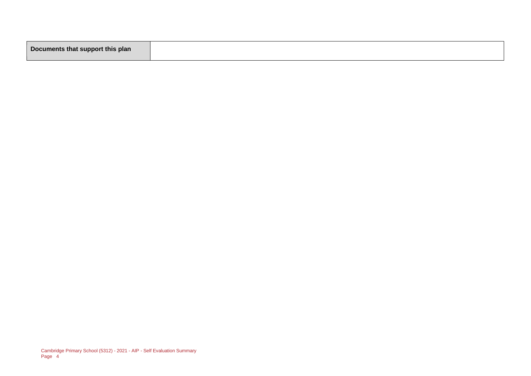|--|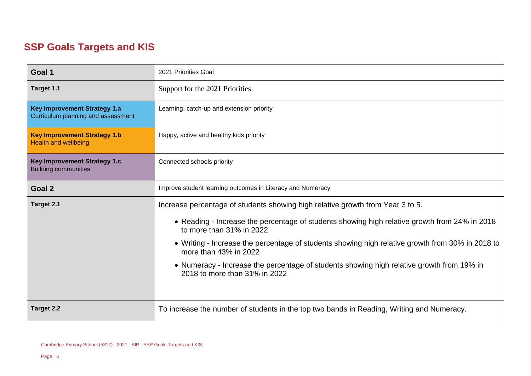### **SSP Goals Targets and KIS**

| Goal 1                                                                    | 2021 Priorities Goal                                                                                                       |  |  |
|---------------------------------------------------------------------------|----------------------------------------------------------------------------------------------------------------------------|--|--|
| Target 1.1                                                                | Support for the 2021 Priorities                                                                                            |  |  |
| <b>Key Improvement Strategy 1.a</b><br>Curriculum planning and assessment | Learning, catch-up and extension priority                                                                                  |  |  |
| <b>Key Improvement Strategy 1.b</b><br><b>Health and wellbeing</b>        | Happy, active and healthy kids priority                                                                                    |  |  |
| Key Improvement Strategy 1.c<br><b>Building communities</b>               | Connected schools priority                                                                                                 |  |  |
| Goal 2                                                                    | Improve student learning outcomes in Literacy and Numeracy.                                                                |  |  |
| Target 2.1                                                                | Increase percentage of students showing high relative growth from Year 3 to 5.                                             |  |  |
|                                                                           | • Reading - Increase the percentage of students showing high relative growth from 24% in 2018<br>to more than 31% in 2022  |  |  |
|                                                                           | • Writing - Increase the percentage of students showing high relative growth from 30% in 2018 to<br>more than 43% in 2022  |  |  |
|                                                                           | • Numeracy - Increase the percentage of students showing high relative growth from 19% in<br>2018 to more than 31% in 2022 |  |  |
| <b>Target 2.2</b>                                                         | To increase the number of students in the top two bands in Reading, Writing and Numeracy.                                  |  |  |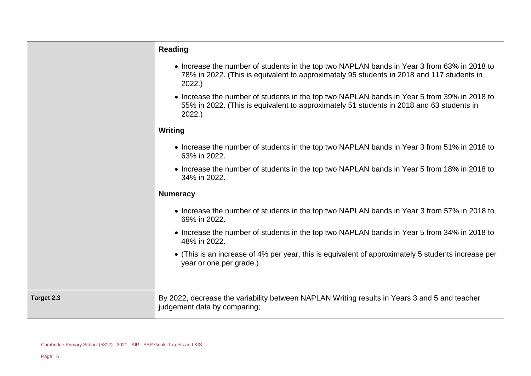|            | <b>Reading</b>                                                                                                                                                                                    |
|------------|---------------------------------------------------------------------------------------------------------------------------------------------------------------------------------------------------|
|            | • Increase the number of students in the top two NAPLAN bands in Year 3 from 63% in 2018 to<br>78% in 2022. (This is equivalent to approximately 95 students in 2018 and 117 students in<br>2022. |
|            | • Increase the number of students in the top two NAPLAN bands in Year 5 from 39% in 2018 to<br>55% in 2022. (This is equivalent to approximately 51 students in 2018 and 63 students in<br>2022.  |
|            | Writing                                                                                                                                                                                           |
|            | • Increase the number of students in the top two NAPLAN bands in Year 3 from 51% in 2018 to<br>63% in 2022.                                                                                       |
|            | • Increase the number of students in the top two NAPLAN bands in Year 5 from 18% in 2018 to<br>34% in 2022.                                                                                       |
|            | <b>Numeracy</b>                                                                                                                                                                                   |
|            | • Increase the number of students in the top two NAPLAN bands in Year 3 from 57% in 2018 to<br>69% in 2022.                                                                                       |
|            | • Increase the number of students in the top two NAPLAN bands in Year 5 from 34% in 2018 to<br>48% in 2022.                                                                                       |
|            | • (This is an increase of 4% per year, this is equivalent of approximately 5 students increase per<br>year or one per grade.)                                                                     |
|            |                                                                                                                                                                                                   |
| Target 2.3 | By 2022, decrease the variability between NAPLAN Writing results in Years 3 and 5 and teacher<br>judgement data by comparing;                                                                     |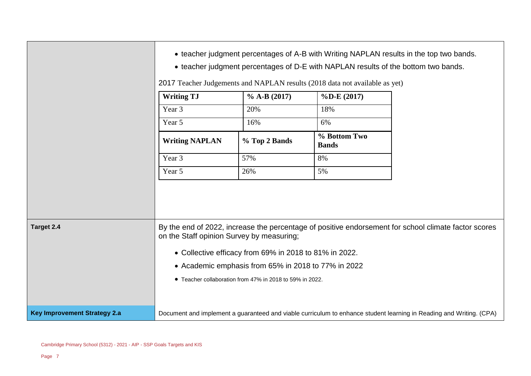|                                                                                                                                                                 | • teacher judgment percentages of A-B with Writing NAPLAN results in the top two bands.<br>• teacher judgment percentages of D-E with NAPLAN results of the bottom two bands.<br>2017 Teacher Judgements and NAPLAN results (2018 data not available as yet) |                                                        |                              |                                                                                                                     |
|-----------------------------------------------------------------------------------------------------------------------------------------------------------------|--------------------------------------------------------------------------------------------------------------------------------------------------------------------------------------------------------------------------------------------------------------|--------------------------------------------------------|------------------------------|---------------------------------------------------------------------------------------------------------------------|
|                                                                                                                                                                 | <b>Writing TJ</b>                                                                                                                                                                                                                                            | $\%$ A-B (2017)                                        | $\%$ D-E $(2017)$            |                                                                                                                     |
|                                                                                                                                                                 | Year 3                                                                                                                                                                                                                                                       | 20%                                                    | 18%                          |                                                                                                                     |
|                                                                                                                                                                 | Year 5                                                                                                                                                                                                                                                       | 16%                                                    | 6%                           |                                                                                                                     |
|                                                                                                                                                                 | <b>Writing NAPLAN</b>                                                                                                                                                                                                                                        | % Top 2 Bands                                          | % Bottom Two<br><b>Bands</b> |                                                                                                                     |
|                                                                                                                                                                 | Year 3                                                                                                                                                                                                                                                       | 57%                                                    | 8%                           |                                                                                                                     |
|                                                                                                                                                                 | Year 5                                                                                                                                                                                                                                                       | 26%                                                    | 5%                           |                                                                                                                     |
|                                                                                                                                                                 |                                                                                                                                                                                                                                                              |                                                        |                              |                                                                                                                     |
| By the end of 2022, increase the percentage of positive endorsement for school climate factor scores<br>Target 2.4<br>on the Staff opinion Survey by measuring; |                                                                                                                                                                                                                                                              |                                                        |                              |                                                                                                                     |
|                                                                                                                                                                 |                                                                                                                                                                                                                                                              | • Collective efficacy from 69% in 2018 to 81% in 2022. |                              |                                                                                                                     |
| • Academic emphasis from 65% in 2018 to 77% in 2022                                                                                                             |                                                                                                                                                                                                                                                              |                                                        |                              |                                                                                                                     |
|                                                                                                                                                                 | • Teacher collaboration from 47% in 2018 to 59% in 2022.                                                                                                                                                                                                     |                                                        |                              |                                                                                                                     |
| <b>Key Improvement Strategy 2.a</b>                                                                                                                             |                                                                                                                                                                                                                                                              |                                                        |                              | Document and implement a guaranteed and viable curriculum to enhance student learning in Reading and Writing. (CPA) |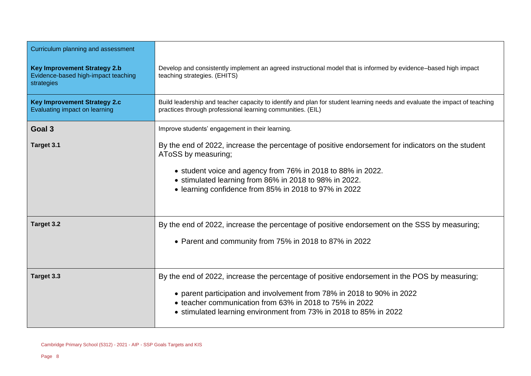| Curriculum planning and assessment                                                       |                                                                                                                                                                                                                                                                                                            |  |  |
|------------------------------------------------------------------------------------------|------------------------------------------------------------------------------------------------------------------------------------------------------------------------------------------------------------------------------------------------------------------------------------------------------------|--|--|
| <b>Key Improvement Strategy 2.b</b><br>Evidence-based high-impact teaching<br>strategies | Develop and consistently implement an agreed instructional model that is informed by evidence-based high impact<br>teaching strategies. (EHITS)                                                                                                                                                            |  |  |
| <b>Key Improvement Strategy 2.c</b><br>Evaluating impact on learning                     | Build leadership and teacher capacity to identify and plan for student learning needs and evaluate the impact of teaching<br>practices through professional learning communities. (EIL)                                                                                                                    |  |  |
| Goal 3                                                                                   | Improve students' engagement in their learning.                                                                                                                                                                                                                                                            |  |  |
| Target 3.1                                                                               | By the end of 2022, increase the percentage of positive endorsement for indicators on the student<br>AToSS by measuring;<br>• student voice and agency from 76% in 2018 to 88% in 2022.<br>• stimulated learning from 86% in 2018 to 98% in 2022.<br>• learning confidence from 85% in 2018 to 97% in 2022 |  |  |
| Target 3.2                                                                               | By the end of 2022, increase the percentage of positive endorsement on the SSS by measuring;<br>• Parent and community from 75% in 2018 to 87% in 2022                                                                                                                                                     |  |  |
| Target 3.3                                                                               | By the end of 2022, increase the percentage of positive endorsement in the POS by measuring;<br>• parent participation and involvement from 78% in 2018 to 90% in 2022<br>• teacher communication from 63% in 2018 to 75% in 2022<br>• stimulated learning environment from 73% in 2018 to 85% in 2022     |  |  |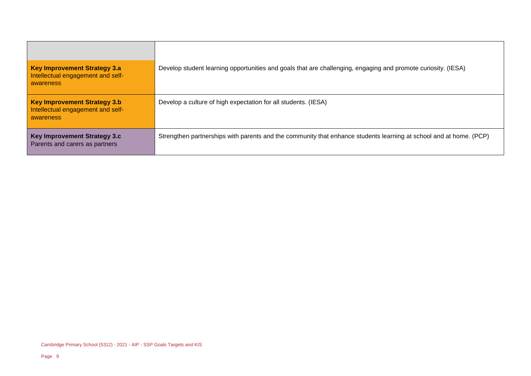| <b>Key Improvement Strategy 3.a</b><br>Intellectual engagement and self-<br>awareness | Develop student learning opportunities and goals that are challenging, engaging and promote curiosity. (IESA)      |
|---------------------------------------------------------------------------------------|--------------------------------------------------------------------------------------------------------------------|
| <b>Key Improvement Strategy 3.b</b><br>Intellectual engagement and self-<br>awareness | Develop a culture of high expectation for all students. (IESA)                                                     |
| <b>Key Improvement Strategy 3.c</b><br>Parents and carers as partners                 | Strengthen partnerships with parents and the community that enhance students learning at school and at home. (PCP) |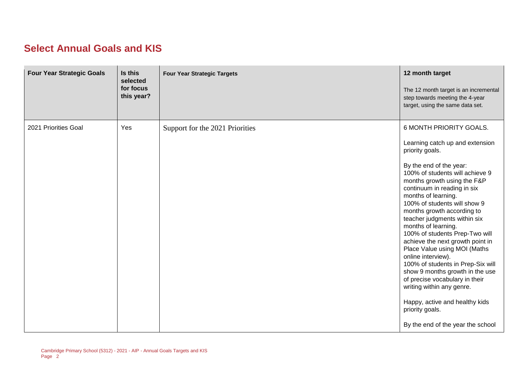#### **Select Annual Goals and KIS**

| <b>Four Year Strategic Goals</b> | Is this<br>selected<br>for focus<br>this year? | <b>Four Year Strategic Targets</b> | 12 month target<br>The 12 month target is an incremental<br>step towards meeting the 4-year<br>target, using the same data set.                                                                                                                                                                                                                                                                                                                                                                                                                                                                                                                                                                                    |
|----------------------------------|------------------------------------------------|------------------------------------|--------------------------------------------------------------------------------------------------------------------------------------------------------------------------------------------------------------------------------------------------------------------------------------------------------------------------------------------------------------------------------------------------------------------------------------------------------------------------------------------------------------------------------------------------------------------------------------------------------------------------------------------------------------------------------------------------------------------|
| 2021 Priorities Goal             | Yes                                            | Support for the 2021 Priorities    | 6 MONTH PRIORITY GOALS.<br>Learning catch up and extension<br>priority goals.<br>By the end of the year:<br>100% of students will achieve 9<br>months growth using the F&P<br>continuum in reading in six<br>months of learning.<br>100% of students will show 9<br>months growth according to<br>teacher judgments within six<br>months of learning.<br>100% of students Prep-Two will<br>achieve the next growth point in<br>Place Value using MOI (Maths<br>online interview).<br>100% of students in Prep-Six will<br>show 9 months growth in the use<br>of precise vocabulary in their<br>writing within any genre.<br>Happy, active and healthy kids<br>priority goals.<br>By the end of the year the school |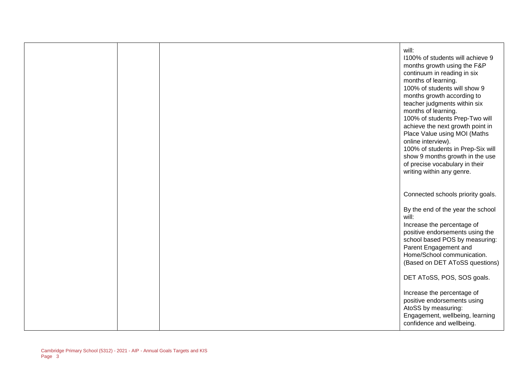|  | will:<br>1100% of students will achieve 9<br>months growth using the F&P<br>continuum in reading in six<br>months of learning.<br>100% of students will show 9<br>months growth according to<br>teacher judgments within six<br>months of learning.<br>100% of students Prep-Two will<br>achieve the next growth point in<br>Place Value using MOI (Maths<br>online interview).<br>100% of students in Prep-Six will<br>show 9 months growth in the use<br>of precise vocabulary in their<br>writing within any genre. |
|--|------------------------------------------------------------------------------------------------------------------------------------------------------------------------------------------------------------------------------------------------------------------------------------------------------------------------------------------------------------------------------------------------------------------------------------------------------------------------------------------------------------------------|
|  | Connected schools priority goals.                                                                                                                                                                                                                                                                                                                                                                                                                                                                                      |
|  | By the end of the year the school<br>will:<br>Increase the percentage of<br>positive endorsements using the<br>school based POS by measuring:<br>Parent Engagement and<br>Home/School communication.<br>(Based on DET AToSS questions)                                                                                                                                                                                                                                                                                 |
|  | DET AToSS, POS, SOS goals.                                                                                                                                                                                                                                                                                                                                                                                                                                                                                             |
|  | Increase the percentage of<br>positive endorsements using<br>AtoSS by measuring:<br>Engagement, wellbeing, learning<br>confidence and wellbeing.                                                                                                                                                                                                                                                                                                                                                                       |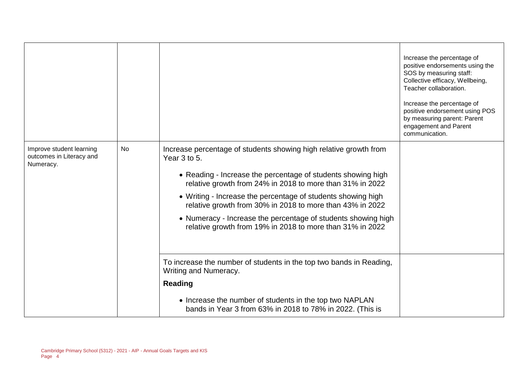|                                                                   |           |                                                                                                                                                                                                                                                                                                                                                                                                                                                                           | Increase the percentage of<br>positive endorsements using the<br>SOS by measuring staff:<br>Collective efficacy, Wellbeing,<br>Teacher collaboration.<br>Increase the percentage of<br>positive endorsement using POS<br>by measuring parent: Parent<br>engagement and Parent<br>communication. |
|-------------------------------------------------------------------|-----------|---------------------------------------------------------------------------------------------------------------------------------------------------------------------------------------------------------------------------------------------------------------------------------------------------------------------------------------------------------------------------------------------------------------------------------------------------------------------------|-------------------------------------------------------------------------------------------------------------------------------------------------------------------------------------------------------------------------------------------------------------------------------------------------|
| Improve student learning<br>outcomes in Literacy and<br>Numeracy. | <b>No</b> | Increase percentage of students showing high relative growth from<br>Year 3 to 5.<br>• Reading - Increase the percentage of students showing high<br>relative growth from 24% in 2018 to more than 31% in 2022<br>• Writing - Increase the percentage of students showing high<br>relative growth from 30% in 2018 to more than 43% in 2022<br>• Numeracy - Increase the percentage of students showing high<br>relative growth from 19% in 2018 to more than 31% in 2022 |                                                                                                                                                                                                                                                                                                 |
|                                                                   |           | To increase the number of students in the top two bands in Reading,<br>Writing and Numeracy.<br><b>Reading</b><br>• Increase the number of students in the top two NAPLAN<br>bands in Year 3 from 63% in 2018 to 78% in 2022. (This is                                                                                                                                                                                                                                    |                                                                                                                                                                                                                                                                                                 |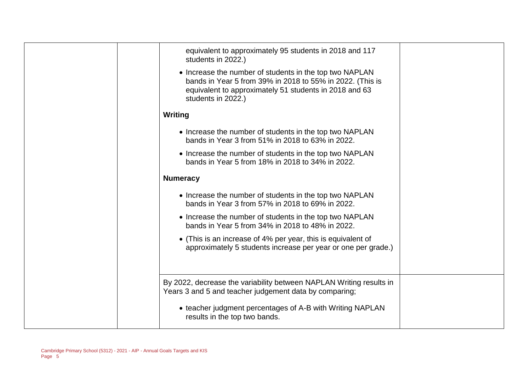| equivalent to approximately 95 students in 2018 and 117<br>students in 2022.)                                                                                                                        |  |
|------------------------------------------------------------------------------------------------------------------------------------------------------------------------------------------------------|--|
| • Increase the number of students in the top two NAPLAN<br>bands in Year 5 from 39% in 2018 to 55% in 2022. (This is<br>equivalent to approximately 51 students in 2018 and 63<br>students in 2022.) |  |
| Writing                                                                                                                                                                                              |  |
| • Increase the number of students in the top two NAPLAN<br>bands in Year 3 from 51% in 2018 to 63% in 2022.                                                                                          |  |
| • Increase the number of students in the top two NAPLAN<br>bands in Year 5 from 18% in 2018 to 34% in 2022.                                                                                          |  |
| <b>Numeracy</b>                                                                                                                                                                                      |  |
| • Increase the number of students in the top two NAPLAN<br>bands in Year 3 from 57% in 2018 to 69% in 2022.                                                                                          |  |
| • Increase the number of students in the top two NAPLAN<br>bands in Year 5 from 34% in 2018 to 48% in 2022.                                                                                          |  |
| • (This is an increase of 4% per year, this is equivalent of<br>approximately 5 students increase per year or one per grade.)                                                                        |  |
| By 2022, decrease the variability between NAPLAN Writing results in<br>Years 3 and 5 and teacher judgement data by comparing;                                                                        |  |
| • teacher judgment percentages of A-B with Writing NAPLAN<br>results in the top two bands.                                                                                                           |  |
|                                                                                                                                                                                                      |  |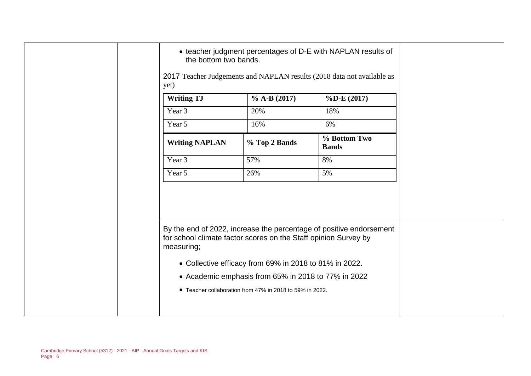| • teacher judgment percentages of D-E with NAPLAN results of<br>the bottom two bands. |                                                          |                                                                     |  |
|---------------------------------------------------------------------------------------|----------------------------------------------------------|---------------------------------------------------------------------|--|
| 2017 Teacher Judgements and NAPLAN results (2018 data not available as<br>yet)        |                                                          |                                                                     |  |
| <b>Writing TJ</b>                                                                     | $\%$ A-B (2017)                                          | $\%$ D-E (2017)                                                     |  |
| Year 3                                                                                | 20%                                                      | 18%                                                                 |  |
| Year 5                                                                                | 16%                                                      | 6%                                                                  |  |
| <b>Writing NAPLAN</b>                                                                 | % Top 2 Bands                                            | % Bottom Two<br><b>Bands</b>                                        |  |
| Year 3                                                                                | 57%                                                      | 8%                                                                  |  |
| Year 5                                                                                | 26%                                                      | 5%                                                                  |  |
|                                                                                       |                                                          |                                                                     |  |
| for school climate factor scores on the Staff opinion Survey by<br>measuring;         |                                                          | By the end of 2022, increase the percentage of positive endorsement |  |
|                                                                                       | • Collective efficacy from 69% in 2018 to 81% in 2022.   |                                                                     |  |
|                                                                                       | • Academic emphasis from 65% in 2018 to 77% in 2022      |                                                                     |  |
|                                                                                       | • Teacher collaboration from 47% in 2018 to 59% in 2022. |                                                                     |  |
|                                                                                       |                                                          |                                                                     |  |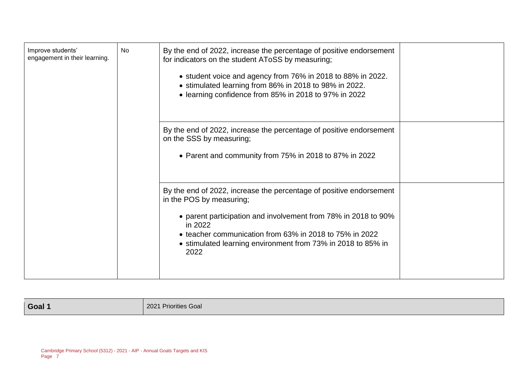| Improve students'<br>engagement in their learning. | <b>No</b> | By the end of 2022, increase the percentage of positive endorsement<br>for indicators on the student AToSS by measuring;<br>• student voice and agency from 76% in 2018 to 88% in 2022.<br>• stimulated learning from 86% in 2018 to 98% in 2022.<br>• learning confidence from 85% in 2018 to 97% in 2022      |  |
|----------------------------------------------------|-----------|-----------------------------------------------------------------------------------------------------------------------------------------------------------------------------------------------------------------------------------------------------------------------------------------------------------------|--|
|                                                    |           | By the end of 2022, increase the percentage of positive endorsement<br>on the SSS by measuring;<br>• Parent and community from 75% in 2018 to 87% in 2022                                                                                                                                                       |  |
|                                                    |           | By the end of 2022, increase the percentage of positive endorsement<br>in the POS by measuring;<br>• parent participation and involvement from 78% in 2018 to 90%<br>in 2022<br>• teacher communication from 63% in 2018 to 75% in 2022<br>• stimulated learning environment from 73% in 2018 to 85% in<br>2022 |  |

**Goal 1** 2021 Priorities Goal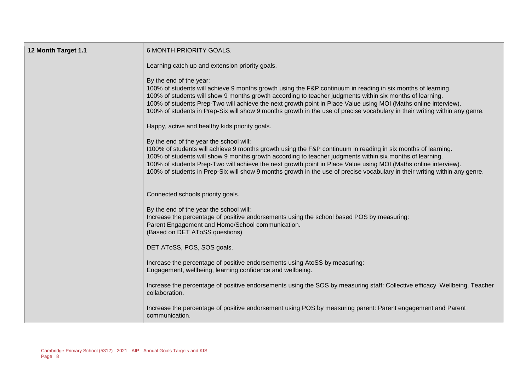| 12 Month Target 1.1 | 6 MONTH PRIORITY GOALS.                                                                                                                                                                                                                                                                                                                                                                                                                                                                                              |
|---------------------|----------------------------------------------------------------------------------------------------------------------------------------------------------------------------------------------------------------------------------------------------------------------------------------------------------------------------------------------------------------------------------------------------------------------------------------------------------------------------------------------------------------------|
|                     | Learning catch up and extension priority goals.                                                                                                                                                                                                                                                                                                                                                                                                                                                                      |
|                     | By the end of the year:<br>100% of students will achieve 9 months growth using the F&P continuum in reading in six months of learning.<br>100% of students will show 9 months growth according to teacher judgments within six months of learning.<br>100% of students Prep-Two will achieve the next growth point in Place Value using MOI (Maths online interview).<br>100% of students in Prep-Six will show 9 months growth in the use of precise vocabulary in their writing within any genre.                  |
|                     | Happy, active and healthy kids priority goals.                                                                                                                                                                                                                                                                                                                                                                                                                                                                       |
|                     | By the end of the year the school will:<br>1100% of students will achieve 9 months growth using the F&P continuum in reading in six months of learning.<br>100% of students will show 9 months growth according to teacher judgments within six months of learning.<br>100% of students Prep-Two will achieve the next growth point in Place Value using MOI (Maths online interview).<br>100% of students in Prep-Six will show 9 months growth in the use of precise vocabulary in their writing within any genre. |
|                     | Connected schools priority goals.                                                                                                                                                                                                                                                                                                                                                                                                                                                                                    |
|                     | By the end of the year the school will:<br>Increase the percentage of positive endorsements using the school based POS by measuring:<br>Parent Engagement and Home/School communication.<br>(Based on DET AToSS questions)                                                                                                                                                                                                                                                                                           |
|                     | DET AToSS, POS, SOS goals.                                                                                                                                                                                                                                                                                                                                                                                                                                                                                           |
|                     | Increase the percentage of positive endorsements using AtoSS by measuring:<br>Engagement, wellbeing, learning confidence and wellbeing.                                                                                                                                                                                                                                                                                                                                                                              |
|                     | Increase the percentage of positive endorsements using the SOS by measuring staff: Collective efficacy, Wellbeing, Teacher<br>collaboration.                                                                                                                                                                                                                                                                                                                                                                         |
|                     | Increase the percentage of positive endorsement using POS by measuring parent: Parent engagement and Parent<br>communication.                                                                                                                                                                                                                                                                                                                                                                                        |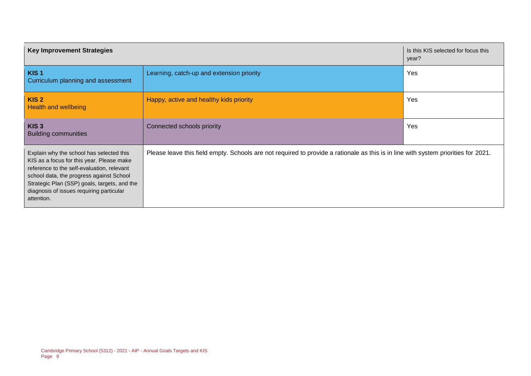| <b>Key Improvement Strategies</b>                                                                                                                                                                                                                                                         |                                                                                                                                    | Is this KIS selected for focus this<br>year? |  |
|-------------------------------------------------------------------------------------------------------------------------------------------------------------------------------------------------------------------------------------------------------------------------------------------|------------------------------------------------------------------------------------------------------------------------------------|----------------------------------------------|--|
| KIS <sub>1</sub><br>Curriculum planning and assessment                                                                                                                                                                                                                                    | Learning, catch-up and extension priority                                                                                          | Yes                                          |  |
| KIS <sub>2</sub><br>Health and wellbeing                                                                                                                                                                                                                                                  | Happy, active and healthy kids priority                                                                                            | Yes                                          |  |
| KIS <sub>3</sub><br><b>Building communities</b>                                                                                                                                                                                                                                           | Connected schools priority                                                                                                         | Yes                                          |  |
| Explain why the school has selected this<br>KIS as a focus for this year. Please make<br>reference to the self-evaluation, relevant<br>school data, the progress against School<br>Strategic Plan (SSP) goals, targets, and the<br>diagnosis of issues requiring particular<br>attention. | Please leave this field empty. Schools are not required to provide a rationale as this is in line with system priorities for 2021. |                                              |  |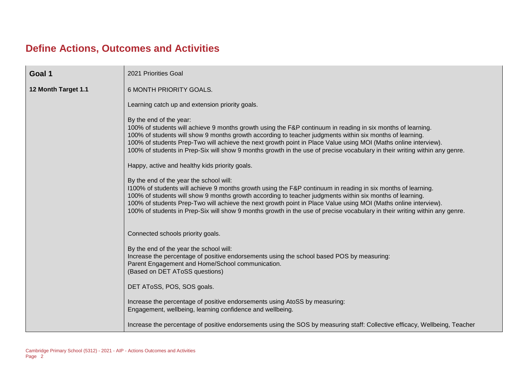## **Define Actions, Outcomes and Activities**

| Goal 1              | 2021 Priorities Goal                                                                                                                                                                                                                                                                                                                                                                                                                                                                                                 |  |  |  |  |  |
|---------------------|----------------------------------------------------------------------------------------------------------------------------------------------------------------------------------------------------------------------------------------------------------------------------------------------------------------------------------------------------------------------------------------------------------------------------------------------------------------------------------------------------------------------|--|--|--|--|--|
| 12 Month Target 1.1 | 6 MONTH PRIORITY GOALS.<br>Learning catch up and extension priority goals.                                                                                                                                                                                                                                                                                                                                                                                                                                           |  |  |  |  |  |
|                     | By the end of the year:<br>100% of students will achieve 9 months growth using the F&P continuum in reading in six months of learning.<br>100% of students will show 9 months growth according to teacher judgments within six months of learning.<br>100% of students Prep-Two will achieve the next growth point in Place Value using MOI (Maths online interview).<br>100% of students in Prep-Six will show 9 months growth in the use of precise vocabulary in their writing within any genre.                  |  |  |  |  |  |
|                     | Happy, active and healthy kids priority goals.                                                                                                                                                                                                                                                                                                                                                                                                                                                                       |  |  |  |  |  |
|                     | By the end of the year the school will:<br>1100% of students will achieve 9 months growth using the F&P continuum in reading in six months of learning.<br>100% of students will show 9 months growth according to teacher judgments within six months of learning.<br>100% of students Prep-Two will achieve the next growth point in Place Value using MOI (Maths online interview).<br>100% of students in Prep-Six will show 9 months growth in the use of precise vocabulary in their writing within any genre. |  |  |  |  |  |
|                     | Connected schools priority goals.                                                                                                                                                                                                                                                                                                                                                                                                                                                                                    |  |  |  |  |  |
|                     | By the end of the year the school will:<br>Increase the percentage of positive endorsements using the school based POS by measuring:<br>Parent Engagement and Home/School communication.<br>(Based on DET AToSS questions)                                                                                                                                                                                                                                                                                           |  |  |  |  |  |
|                     | DET AToSS, POS, SOS goals.                                                                                                                                                                                                                                                                                                                                                                                                                                                                                           |  |  |  |  |  |
|                     | Increase the percentage of positive endorsements using AtoSS by measuring:<br>Engagement, wellbeing, learning confidence and wellbeing.                                                                                                                                                                                                                                                                                                                                                                              |  |  |  |  |  |
|                     | Increase the percentage of positive endorsements using the SOS by measuring staff: Collective efficacy, Wellbeing, Teacher                                                                                                                                                                                                                                                                                                                                                                                           |  |  |  |  |  |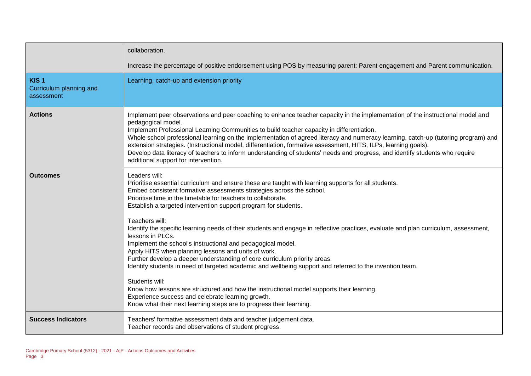|                                                           | collaboration.                                                                                                                                                                                                                                                                                                                                                                                                                                                                                                                                                                                                                                                                                                                                                                                                                                                                                                                                                                                                                                                           |
|-----------------------------------------------------------|--------------------------------------------------------------------------------------------------------------------------------------------------------------------------------------------------------------------------------------------------------------------------------------------------------------------------------------------------------------------------------------------------------------------------------------------------------------------------------------------------------------------------------------------------------------------------------------------------------------------------------------------------------------------------------------------------------------------------------------------------------------------------------------------------------------------------------------------------------------------------------------------------------------------------------------------------------------------------------------------------------------------------------------------------------------------------|
|                                                           | Increase the percentage of positive endorsement using POS by measuring parent: Parent engagement and Parent communication.                                                                                                                                                                                                                                                                                                                                                                                                                                                                                                                                                                                                                                                                                                                                                                                                                                                                                                                                               |
| KIS <sub>1</sub><br>Curriculum planning and<br>assessment | Learning, catch-up and extension priority                                                                                                                                                                                                                                                                                                                                                                                                                                                                                                                                                                                                                                                                                                                                                                                                                                                                                                                                                                                                                                |
| <b>Actions</b>                                            | Implement peer observations and peer coaching to enhance teacher capacity in the implementation of the instructional model and<br>pedagogical model.<br>Implement Professional Learning Communities to build teacher capacity in differentiation.<br>Whole school professional learning on the implementation of agreed literacy and numeracy learning, catch-up (tutoring program) and<br>extension strategies. (Instructional model, differentiation, formative assessment, HITS, ILPs, learning goals).<br>Develop data literacy of teachers to inform understanding of students' needs and progress, and identify students who require<br>additional support for intervention.                                                                                                                                                                                                                                                                                                                                                                                       |
| <b>Outcomes</b>                                           | Leaders will:<br>Prioritise essential curriculum and ensure these are taught with learning supports for all students.<br>Embed consistent formative assessments strategies across the school.<br>Prioritise time in the timetable for teachers to collaborate.<br>Establish a targeted intervention support program for students.<br>Teachers will:<br>Identify the specific learning needs of their students and engage in reflective practices, evaluate and plan curriculum, assessment,<br>lessons in PLCs.<br>Implement the school's instructional and pedagogical model.<br>Apply HITS when planning lessons and units of work.<br>Further develop a deeper understanding of core curriculum priority areas.<br>Identify students in need of targeted academic and wellbeing support and referred to the invention team.<br>Students will:<br>Know how lessons are structured and how the instructional model supports their learning.<br>Experience success and celebrate learning growth.<br>Know what their next learning steps are to progress their learning. |
| <b>Success Indicators</b>                                 | Teachers' formative assessment data and teacher judgement data.<br>Teacher records and observations of student progress.                                                                                                                                                                                                                                                                                                                                                                                                                                                                                                                                                                                                                                                                                                                                                                                                                                                                                                                                                 |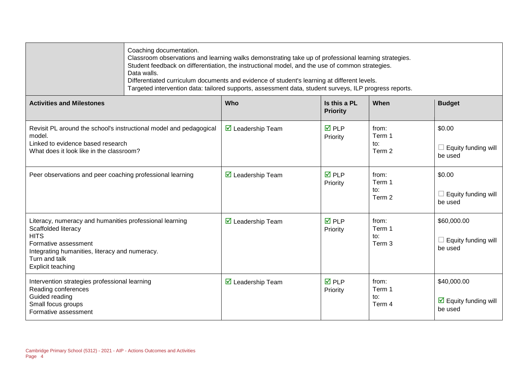|                                                                                                                                                                                                                      | Coaching documentation.<br>Classroom observations and learning walks demonstrating take up of professional learning strategies.<br>Student feedback on differentiation, the instructional model, and the use of common strategies.<br>Data walls.<br>Differentiated curriculum documents and evidence of student's learning at different levels.<br>Targeted intervention data: tailored supports, assessment data, student surveys, ILP progress reports. |                                         |                                 |                                             |                                                                |
|----------------------------------------------------------------------------------------------------------------------------------------------------------------------------------------------------------------------|------------------------------------------------------------------------------------------------------------------------------------------------------------------------------------------------------------------------------------------------------------------------------------------------------------------------------------------------------------------------------------------------------------------------------------------------------------|-----------------------------------------|---------------------------------|---------------------------------------------|----------------------------------------------------------------|
| <b>Activities and Milestones</b>                                                                                                                                                                                     |                                                                                                                                                                                                                                                                                                                                                                                                                                                            | Who                                     | Is this a PL<br><b>Priority</b> | When                                        | <b>Budget</b>                                                  |
| Revisit PL around the school's instructional model and pedagogical<br>model.<br>Linked to evidence based research<br>What does it look like in the classroom?                                                        |                                                                                                                                                                                                                                                                                                                                                                                                                                                            | $\triangledown$ Leadership Team         | $\overline{M}$ PLP<br>Priority  | from:<br>Term 1<br>to:<br>Term 2            | \$0.00<br>$\Box$ Equity funding will<br>be used                |
| Peer observations and peer coaching professional learning                                                                                                                                                            |                                                                                                                                                                                                                                                                                                                                                                                                                                                            | ☑ Leadership Team                       | $\overline{M}$ PLP<br>Priority  | from:<br>Term 1<br>to:<br>Term 2            | \$0.00<br>$\Box$ Equity funding will<br>be used                |
| Literacy, numeracy and humanities professional learning<br>Scaffolded literacy<br><b>HITS</b><br>Formative assessment<br>Integrating humanities, literacy and numeracy.<br>Turn and talk<br><b>Explicit teaching</b> |                                                                                                                                                                                                                                                                                                                                                                                                                                                            | $\overline{\mathbf{M}}$ Leadership Team | $\overline{M}$ PLP<br>Priority  | from:<br>Term 1<br>to:<br>Term <sub>3</sub> | \$60,000.00<br>$\Box$ Equity funding will<br>be used           |
| Intervention strategies professional learning<br>Reading conferences<br>Guided reading<br>Small focus groups<br>Formative assessment                                                                                 |                                                                                                                                                                                                                                                                                                                                                                                                                                                            | $\triangledown$ Leadership Team         | $\overline{M}$ PLP<br>Priority  | from:<br>Term 1<br>to:<br>Term 4            | \$40,000.00<br>$\triangleright$ Equity funding will<br>be used |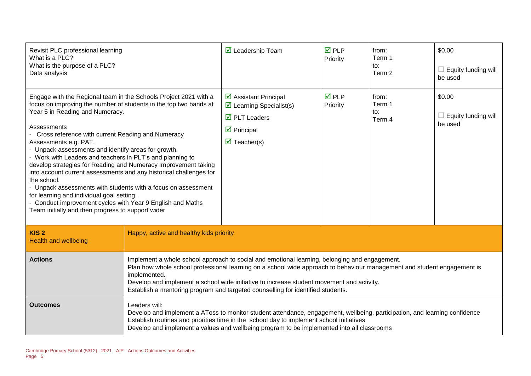| Revisit PLC professional learning<br>What is a PLC?<br>What is the purpose of a PLC?<br>Data analysis                                                                                                                                                                                                                                                                                                                                                                                                                                                                                                                                                                                                                                                                               |                                                                                                                                                                                                                                                                                                                                                                                                                          | $\triangleright$ Leadership Team                                                                                                                                                          | <b>☑</b> PLP<br>Priority | from:<br>Term 1<br>to:<br>Term 2 | \$0.00<br>Equity funding will<br>be used |
|-------------------------------------------------------------------------------------------------------------------------------------------------------------------------------------------------------------------------------------------------------------------------------------------------------------------------------------------------------------------------------------------------------------------------------------------------------------------------------------------------------------------------------------------------------------------------------------------------------------------------------------------------------------------------------------------------------------------------------------------------------------------------------------|--------------------------------------------------------------------------------------------------------------------------------------------------------------------------------------------------------------------------------------------------------------------------------------------------------------------------------------------------------------------------------------------------------------------------|-------------------------------------------------------------------------------------------------------------------------------------------------------------------------------------------|--------------------------|----------------------------------|------------------------------------------|
| Engage with the Regional team in the Schools Project 2021 with a<br>focus on improving the number of students in the top two bands at<br>Year 5 in Reading and Numeracy.<br>Assessments<br>- Cross reference with current Reading and Numeracy<br>Assessments e.g. PAT.<br>- Unpack assessments and identify areas for growth.<br>- Work with Leaders and teachers in PLT's and planning to<br>develop strategies for Reading and Numeracy Improvement taking<br>into account current assessments and any historical challenges for<br>the school.<br>- Unpack assessments with students with a focus on assessment<br>for learning and individual goal setting.<br>- Conduct improvement cycles with Year 9 English and Maths<br>Team initially and then progress to support wider |                                                                                                                                                                                                                                                                                                                                                                                                                          | $\triangleright$ Assistant Principal<br>$\triangleright$ Learning Specialist(s)<br>$\overline{\boxtimes}$ PLT Leaders<br>$\triangleright$ Principal<br>$\overline{\mathbf{M}}$ Teacher(s) | <b>☑</b> PLP<br>Priority | from:<br>Term 1<br>to:<br>Term 4 | \$0.00<br>Equity funding will<br>be used |
| KIS <sub>2</sub><br><b>Health and wellbeing</b>                                                                                                                                                                                                                                                                                                                                                                                                                                                                                                                                                                                                                                                                                                                                     | Happy, active and healthy kids priority                                                                                                                                                                                                                                                                                                                                                                                  |                                                                                                                                                                                           |                          |                                  |                                          |
| <b>Actions</b>                                                                                                                                                                                                                                                                                                                                                                                                                                                                                                                                                                                                                                                                                                                                                                      | Implement a whole school approach to social and emotional learning, belonging and engagement.<br>Plan how whole school professional learning on a school wide approach to behaviour management and student engagement is<br>implemented.<br>Develop and implement a school wide initiative to increase student movement and activity.<br>Establish a mentoring program and targeted counselling for identified students. |                                                                                                                                                                                           |                          |                                  |                                          |
| <b>Outcomes</b>                                                                                                                                                                                                                                                                                                                                                                                                                                                                                                                                                                                                                                                                                                                                                                     | Leaders will:<br>Develop and implement a AToss to monitor student attendance, engagement, wellbeing, participation, and learning confidence<br>Establish routines and priorities time in the school day to implement school initiatives<br>Develop and implement a values and wellbeing program to be implemented into all classrooms                                                                                    |                                                                                                                                                                                           |                          |                                  |                                          |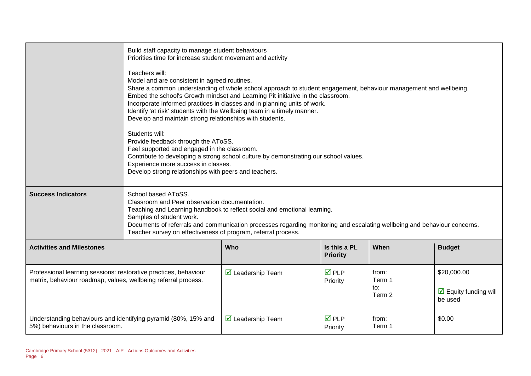|                                                                                                                                    | Build staff capacity to manage student behaviours<br>Priorities time for increase student movement and activity<br>Teachers will:<br>Model and are consistent in agreed routines.<br>Share a common understanding of whole school approach to student engagement, behaviour management and wellbeing.<br>Embed the school's Growth mindset and Learning Pit initiative in the classroom.<br>Incorporate informed practices in classes and in planning units of work.<br>Identify 'at risk' students with the Wellbeing team in a timely manner.<br>Develop and maintain strong relationships with students.<br>Students will:<br>Provide feedback through the AToSS.<br>Feel supported and engaged in the classroom.<br>Contribute to developing a strong school culture by demonstrating our school values.<br>Experience more success in classes.<br>Develop strong relationships with peers and teachers. |                                  |                                 |                                  |                                                                |
|------------------------------------------------------------------------------------------------------------------------------------|--------------------------------------------------------------------------------------------------------------------------------------------------------------------------------------------------------------------------------------------------------------------------------------------------------------------------------------------------------------------------------------------------------------------------------------------------------------------------------------------------------------------------------------------------------------------------------------------------------------------------------------------------------------------------------------------------------------------------------------------------------------------------------------------------------------------------------------------------------------------------------------------------------------|----------------------------------|---------------------------------|----------------------------------|----------------------------------------------------------------|
| <b>Success Indicators</b>                                                                                                          | School based AToSS.<br>Classroom and Peer observation documentation.<br>Teaching and Learning handbook to reflect social and emotional learning.<br>Samples of student work.<br>Documents of referrals and communication processes regarding monitoring and escalating wellbeing and behaviour concerns.<br>Teacher survey on effectiveness of program, referral process.                                                                                                                                                                                                                                                                                                                                                                                                                                                                                                                                    |                                  |                                 |                                  |                                                                |
| <b>Activities and Milestones</b>                                                                                                   |                                                                                                                                                                                                                                                                                                                                                                                                                                                                                                                                                                                                                                                                                                                                                                                                                                                                                                              | Who                              | Is this a PL<br><b>Priority</b> | When                             | <b>Budget</b>                                                  |
| Professional learning sessions: restorative practices, behaviour<br>matrix, behaviour roadmap, values, wellbeing referral process. |                                                                                                                                                                                                                                                                                                                                                                                                                                                                                                                                                                                                                                                                                                                                                                                                                                                                                                              | $\triangleright$ Leadership Team | $\overline{M}$ PLP<br>Priority  | from:<br>Term 1<br>to:<br>Term 2 | \$20,000.00<br>$\triangleright$ Equity funding will<br>be used |
| Understanding behaviours and identifying pyramid (80%, 15% and<br>5%) behaviours in the classroom.                                 |                                                                                                                                                                                                                                                                                                                                                                                                                                                                                                                                                                                                                                                                                                                                                                                                                                                                                                              | $\triangleright$ Leadership Team | $\overline{M}$ PLP<br>Priority  | from:<br>Term 1                  | \$0.00                                                         |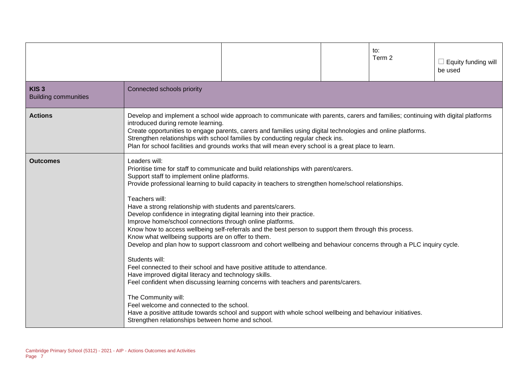|                                                 |                                                                                                                                                                                                                                                                                                                                                                                                                                                                                                                                                   |                                                                                                                                                                                                                                                                                                                                                                                                                                                                                                                                                                                                                                                                                                             | to:<br>Term 2 | Equity funding will<br>be used |
|-------------------------------------------------|---------------------------------------------------------------------------------------------------------------------------------------------------------------------------------------------------------------------------------------------------------------------------------------------------------------------------------------------------------------------------------------------------------------------------------------------------------------------------------------------------------------------------------------------------|-------------------------------------------------------------------------------------------------------------------------------------------------------------------------------------------------------------------------------------------------------------------------------------------------------------------------------------------------------------------------------------------------------------------------------------------------------------------------------------------------------------------------------------------------------------------------------------------------------------------------------------------------------------------------------------------------------------|---------------|--------------------------------|
| KIS <sub>3</sub><br><b>Building communities</b> | Connected schools priority                                                                                                                                                                                                                                                                                                                                                                                                                                                                                                                        |                                                                                                                                                                                                                                                                                                                                                                                                                                                                                                                                                                                                                                                                                                             |               |                                |
| <b>Actions</b>                                  | introduced during remote learning.                                                                                                                                                                                                                                                                                                                                                                                                                                                                                                                | Develop and implement a school wide approach to communicate with parents, carers and families; continuing with digital platforms<br>Create opportunities to engage parents, carers and families using digital technologies and online platforms.<br>Strengthen relationships with school families by conducting regular check ins.<br>Plan for school facilities and grounds works that will mean every school is a great place to learn.                                                                                                                                                                                                                                                                   |               |                                |
| <b>Outcomes</b>                                 | Leaders will:<br>Support staff to implement online platforms.<br>Teachers will:<br>Have a strong relationship with students and parents/carers.<br>Develop confidence in integrating digital learning into their practice.<br>Improve home/school connections through online platforms.<br>Know what wellbeing supports are on offer to them.<br>Students will:<br>Have improved digital literacy and technology skills.<br>The Community will:<br>Feel welcome and connected to the school.<br>Strengthen relationships between home and school. | Prioritise time for staff to communicate and build relationships with parent/carers.<br>Provide professional learning to build capacity in teachers to strengthen home/school relationships.<br>Know how to access wellbeing self-referrals and the best person to support them through this process.<br>Develop and plan how to support classroom and cohort wellbeing and behaviour concerns through a PLC inquiry cycle.<br>Feel connected to their school and have positive attitude to attendance.<br>Feel confident when discussing learning concerns with teachers and parents/carers.<br>Have a positive attitude towards school and support with whole school wellbeing and behaviour initiatives. |               |                                |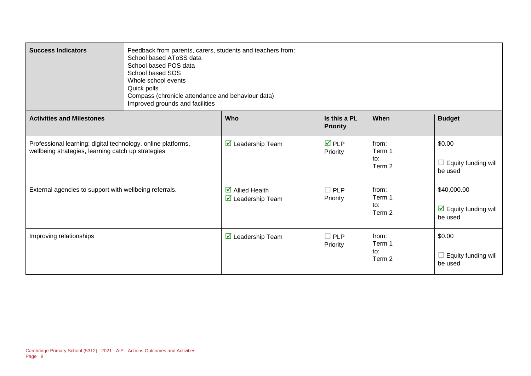| <b>Success Indicators</b>                                                                                           | Feedback from parents, carers, students and teachers from:<br>School based AToSS data<br>School based POS data<br>School based SOS<br>Whole school events<br>Quick polls<br>Compass (chronicle attendance and behaviour data)<br>Improved grounds and facilities |                                                                          |                                 |                                  |                                                         |  |  |  |
|---------------------------------------------------------------------------------------------------------------------|------------------------------------------------------------------------------------------------------------------------------------------------------------------------------------------------------------------------------------------------------------------|--------------------------------------------------------------------------|---------------------------------|----------------------------------|---------------------------------------------------------|--|--|--|
| <b>Activities and Milestones</b>                                                                                    |                                                                                                                                                                                                                                                                  | Who                                                                      | Is this a PL<br><b>Priority</b> | When                             | <b>Budget</b>                                           |  |  |  |
| Professional learning: digital technology, online platforms,<br>wellbeing strategies, learning catch up strategies. |                                                                                                                                                                                                                                                                  | $\triangledown$ Leadership Team                                          | $\overline{M}$ PLP<br>Priority  | from:<br>Term 1<br>to:<br>Term 2 | \$0.00<br>$\Box$ Equity funding will<br>be used         |  |  |  |
| External agencies to support with wellbeing referrals.                                                              |                                                                                                                                                                                                                                                                  | $\overline{\mathbf{z}}$ Allied Health<br>$\triangledown$ Leadership Team | $\Box$ PLP<br>Priority          | from:<br>Term 1<br>to:<br>Term 2 | \$40,000.00<br>$\boxdot$ Equity funding will<br>be used |  |  |  |
| Improving relationships                                                                                             |                                                                                                                                                                                                                                                                  | $\triangledown$ Leadership Team                                          | $\Box$ PLP<br>Priority          | from:<br>Term 1<br>to:<br>Term 2 | \$0.00<br>$\Box$ Equity funding will<br>be used         |  |  |  |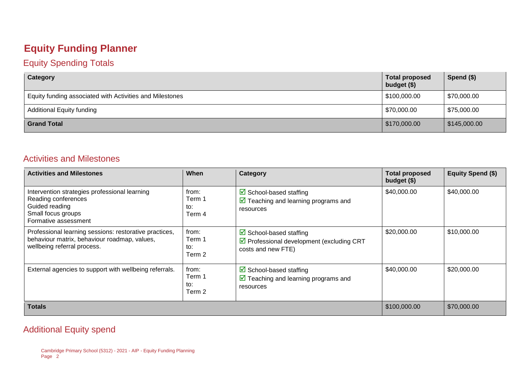#### **Equity Funding Planner**

#### Equity Spending Totals

| Category                                                 | <b>Total proposed</b><br>budget $($)$ | Spend $($)$  |
|----------------------------------------------------------|---------------------------------------|--------------|
| Equity funding associated with Activities and Milestones | \$100,000.00                          | \$70,000.00  |
| <b>Additional Equity funding</b>                         | \$70,000.00                           | \$75,000.00  |
| <b>Grand Total</b>                                       | $\frac{1}{2}$ \$170,000.00            | \$145,000.00 |

#### Activities and Milestones

| <b>Activities and Milestones</b>                                                                                                      | When                             | Category                                                                                                           | <b>Total proposed</b><br>budget (\$) | <b>Equity Spend (\$)</b> |
|---------------------------------------------------------------------------------------------------------------------------------------|----------------------------------|--------------------------------------------------------------------------------------------------------------------|--------------------------------------|--------------------------|
| Intervention strategies professional learning<br>Reading conferences<br>Guided reading<br>Small focus groups<br>Formative assessment  | from:<br>Term 1<br>to:<br>Term 4 | $\boxdot$ School-based staffing<br>$\triangleright$ Teaching and learning programs and<br>resources                | \$40,000.00                          | \$40,000.00              |
| Professional learning sessions: restorative practices,<br>behaviour matrix, behaviour roadmap, values,<br>wellbeing referral process. | from:<br>Term 1<br>to:<br>Term 2 | $\boxtimes$ School-based staffing<br>$\triangledown$ Professional development (excluding CRT<br>costs and new FTE) | \$20,000.00                          | \$10,000.00              |
| External agencies to support with wellbeing referrals.                                                                                | from:<br>Term 1<br>to:<br>Term 2 | $\triangleright$ School-based staffing<br>$\triangleright$ Teaching and learning programs and<br>resources         | \$40,000.00                          | \$20,000.00              |
| <b>Totals</b>                                                                                                                         |                                  |                                                                                                                    | \$100,000.00                         | \$70,000.00              |

#### Additional Equity spend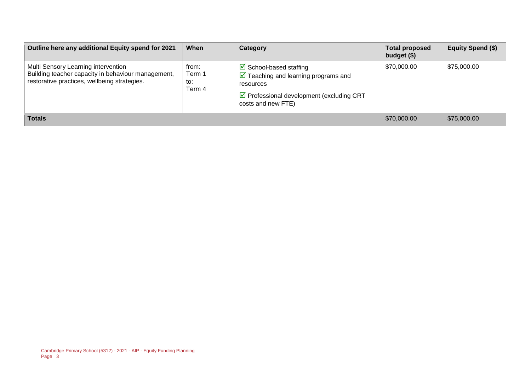| Outline here any additional Equity spend for 2021                                                                                         | When                             | Category                                                                                                                                                                                     | <b>Total proposed</b><br>budget $($)$ | Equity Spend (\$) |
|-------------------------------------------------------------------------------------------------------------------------------------------|----------------------------------|----------------------------------------------------------------------------------------------------------------------------------------------------------------------------------------------|---------------------------------------|-------------------|
| Multi Sensory Learning intervention<br>Building teacher capacity in behaviour management,<br>restorative practices, wellbeing strategies. | from:<br>Term 1<br>to:<br>Term 4 | $\triangleright$ School-based staffing<br>$\triangleright$ Teaching and learning programs and<br>resources<br>$\triangleright$ Professional development (excluding CRT<br>costs and new FTE) | \$70,000.00                           | \$75,000.00       |
| <b>Totals</b>                                                                                                                             |                                  |                                                                                                                                                                                              | \$70,000.00                           | \$75,000.00       |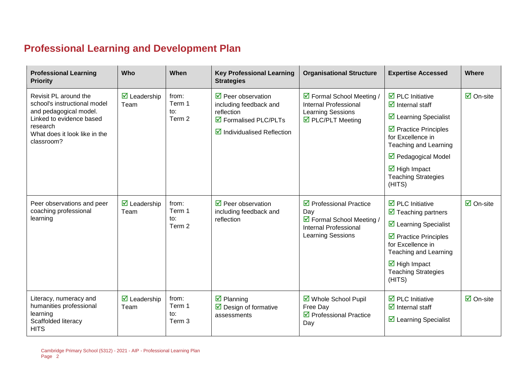## **Professional Learning and Development Plan**

| <b>Professional Learning</b><br><b>Priority</b>                                                                                                                        | Who                                        | When                             | <b>Key Professional Learning</b><br><b>Strategies</b>                                                                                                            | <b>Organisational Structure</b>                                                                                                       | <b>Expertise Accessed</b>                                                                                                                                                                                                                                                                                           | Where                     |
|------------------------------------------------------------------------------------------------------------------------------------------------------------------------|--------------------------------------------|----------------------------------|------------------------------------------------------------------------------------------------------------------------------------------------------------------|---------------------------------------------------------------------------------------------------------------------------------------|---------------------------------------------------------------------------------------------------------------------------------------------------------------------------------------------------------------------------------------------------------------------------------------------------------------------|---------------------------|
| Revisit PL around the<br>school's instructional model<br>and pedagogical model.<br>Linked to evidence based<br>research<br>What does it look like in the<br>classroom? | $\overline{\mathbf{M}}$ Leadership<br>Team | from:<br>Term 1<br>to:<br>Term 2 | $\triangledown$ Peer observation<br>including feedback and<br>reflection<br>$\overline{\mathbf{M}}$ Formalised PLC/PLTs<br>$\boxtimes$ Individualised Reflection | ☑ Formal School Meeting /<br><b>Internal Professional</b><br>Learning Sessions<br>☑ PLC/PLT Meeting                                   | $\overline{\mathbf{2}}$ PLC Initiative<br>$\overline{\mathbf{y}}$ Internal staff<br>☑ Learning Specialist<br>$\triangleright$ Practice Principles<br>for Excellence in<br>Teaching and Learning<br>$\triangledown$ Pedagogical Model<br>$\overline{\mathbf{M}}$ High Impact<br><b>Teaching Strategies</b><br>(HITS) | $\overline{\Box}$ On-site |
| Peer observations and peer<br>coaching professional<br>learning                                                                                                        | $\triangleright$ Leadership<br>Team        | from:<br>Term 1<br>to:<br>Term 2 | $\triangledown$ Peer observation<br>including feedback and<br>reflection                                                                                         | $\triangledown$ Professional Practice<br>Day<br>☑ Formal School Meeting /<br><b>Internal Professional</b><br><b>Learning Sessions</b> | $\overline{\mathbf{1}}$ PLC Initiative<br>$\triangledown$ Teaching partners<br>☑ Learning Specialist<br>$\triangleright$ Practice Principles<br>for Excellence in<br>Teaching and Learning<br>$\overline{\mathbf{M}}$ High Impact<br><b>Teaching Strategies</b><br>(HITS)                                           | $\overline{\Box}$ On-site |
| Literacy, numeracy and<br>humanities professional<br>learning<br>Scaffolded literacy<br><b>HITS</b>                                                                    | $\overline{\mathbf{M}}$ Leadership<br>Team | from:<br>Term 1<br>to:<br>Term 3 | $\boxtimes$ Planning<br>$\triangleright$ Design of formative<br>assessments                                                                                      | ☑ Whole School Pupil<br>Free Day<br>$\triangledown$ Professional Practice<br>Day                                                      | $\overline{\mathbf{d}}$ PLC Initiative<br>$\overline{\mathbf{y}}$ Internal staff<br>$\boxtimes$ Learning Specialist                                                                                                                                                                                                 | $\overline{\Box}$ On-site |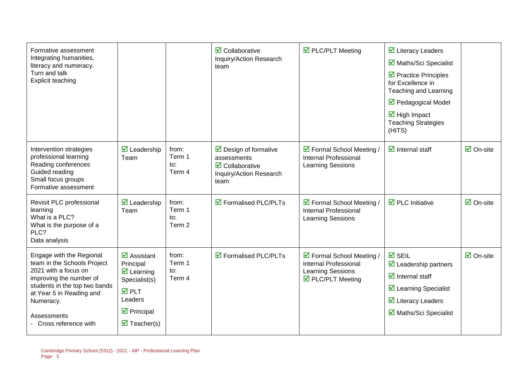| Formative assessment<br>Integrating humanities,<br>literacy and numeracy.<br>Turn and talk<br>Explicit teaching                                                                                                             |                                                                                                                                                                                                          |                                  | $\overline{\mathbf{2}}$ Collaborative<br>Inquiry/Action Research<br>team                                                        | ☑ PLC/PLT Meeting                                                                                   | $\overline{\mathbf{y}}$ Literacy Leaders<br>■ Maths/Sci Specialist<br>$\triangleright$ Practice Principles<br>for Excellence in<br>Teaching and Learning<br>$\triangledown$ Pedagogical Model<br>$\overline{\mathbf{M}}$ High Impact<br><b>Teaching Strategies</b><br>(HITS) |                                 |
|-----------------------------------------------------------------------------------------------------------------------------------------------------------------------------------------------------------------------------|----------------------------------------------------------------------------------------------------------------------------------------------------------------------------------------------------------|----------------------------------|---------------------------------------------------------------------------------------------------------------------------------|-----------------------------------------------------------------------------------------------------|------------------------------------------------------------------------------------------------------------------------------------------------------------------------------------------------------------------------------------------------------------------------------|---------------------------------|
| Intervention strategies<br>professional learning<br>Reading conferences<br>Guided reading<br>Small focus groups<br>Formative assessment                                                                                     | $\overline{\mathbf{M}}$ Leadership<br>Team                                                                                                                                                               | from:<br>Term 1<br>to:<br>Term 4 | $\triangleright$ Design of formative<br>assessments<br>$\overline{\mathbf{z}}$ Collaborative<br>Inquiry/Action Research<br>team | ☑ Formal School Meeting /<br><b>Internal Professional</b><br>Learning Sessions                      | $\overline{\mathbf{z}}$ Internal staff                                                                                                                                                                                                                                       | $\overline{\mathsf{M}}$ On-site |
| Revisit PLC professional<br>learning<br>What is a PLC?<br>What is the purpose of a<br>PLC?<br>Data analysis                                                                                                                 | $\overline{\mathbf{M}}$ Leadership<br>Team                                                                                                                                                               | from:<br>Term 1<br>to:<br>Term 2 | ☑ Formalised PLC/PLTs                                                                                                           | ☑ Formal School Meeting /<br>Internal Professional<br>Learning Sessions                             | $\overline{\mathbf{M}}$ PLC Initiative                                                                                                                                                                                                                                       | $\overline{\mathsf{M}}$ On-site |
| Engage with the Regional<br>team in the Schools Project<br>2021 with a focus on<br>improving the number of<br>students in the top two bands<br>at Year 5 in Reading and<br>Numeracy.<br>Assessments<br>Cross reference with | $\overline{\mathbf{z}}$ Assistant<br>Principal<br>$\overline{\mathbf{z}}$ Learning<br>Specialist(s)<br>$\overline{M}$ PLT<br>Leaders<br>$\triangleright$ Principal<br>$\overline{\mathbf{z}}$ Teacher(s) | from:<br>Term 1<br>to:<br>Term 4 | $\triangledown$ Formalised PLC/PLTs                                                                                             | ☑ Formal School Meeting /<br>Internal Professional<br><b>Learning Sessions</b><br>☑ PLC/PLT Meeting | $\overline{M}$ SEIL<br>$\triangleright$ Leadership partners<br>$\overline{\mathbf{d}}$ Internal staff<br>☑ Learning Specialist<br>$\overline{\mathbf{M}}$ Literacy Leaders<br>☑ Maths/Sci Specialist                                                                         | $\boxdot$ On-site               |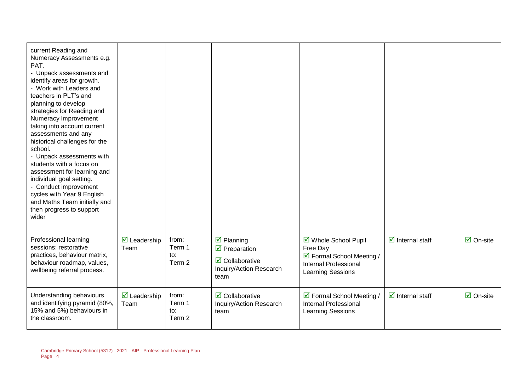| current Reading and<br>Numeracy Assessments e.g.<br>PAT.<br>- Unpack assessments and<br>identify areas for growth.<br>- Work with Leaders and<br>teachers in PLT's and<br>planning to develop<br>strategies for Reading and<br>Numeracy Improvement<br>taking into account current<br>assessments and any<br>historical challenges for the<br>school.<br>- Unpack assessments with<br>students with a focus on<br>assessment for learning and<br>individual goal setting.<br>- Conduct improvement<br>cycles with Year 9 English<br>and Maths Team initially and<br>then progress to support<br>wider |                                            |                                  |                                                                                                                             |                                                                                                             |                                        |                                 |
|-------------------------------------------------------------------------------------------------------------------------------------------------------------------------------------------------------------------------------------------------------------------------------------------------------------------------------------------------------------------------------------------------------------------------------------------------------------------------------------------------------------------------------------------------------------------------------------------------------|--------------------------------------------|----------------------------------|-----------------------------------------------------------------------------------------------------------------------------|-------------------------------------------------------------------------------------------------------------|----------------------------------------|---------------------------------|
| Professional learning<br>sessions: restorative<br>practices, behaviour matrix,<br>behaviour roadmap, values,<br>wellbeing referral process.                                                                                                                                                                                                                                                                                                                                                                                                                                                           | $\overline{\mathbf{M}}$ Leadership<br>Team | from:<br>Term 1<br>to:<br>Term 2 | $\boxtimes$ Planning<br>$\overline{\mathbf{2}}$ Preparation<br>$\boxtimes$ Collaborative<br>Inquiry/Action Research<br>team | ☑ Whole School Pupil<br>Free Day<br>☑ Formal School Meeting /<br>Internal Professional<br>Learning Sessions | $\overline{\mathbf{z}}$ Internal staff | $\overline{\mathsf{M}}$ On-site |
| Understanding behaviours<br>and identifying pyramid (80%,<br>15% and 5%) behaviours in<br>the classroom.                                                                                                                                                                                                                                                                                                                                                                                                                                                                                              | $\triangleright$ Leadership<br>Team        | from:<br>Term 1<br>to:<br>Term 2 | $\triangledown$ Collaborative<br>Inquiry/Action Research<br>team                                                            | ☑ Formal School Meeting /<br><b>Internal Professional</b><br>Learning Sessions                              | $\overline{\mathbf{y}}$ Internal staff | $\overline{\mathsf{M}}$ On-site |